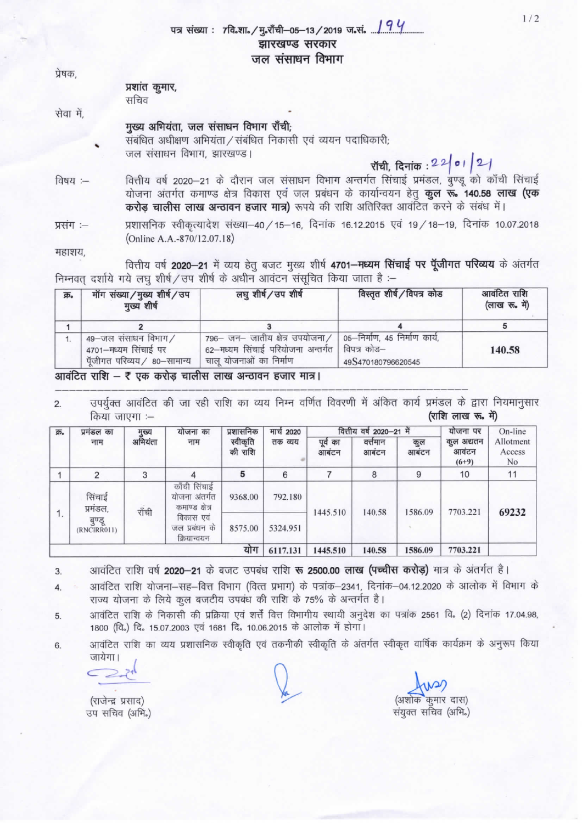## पत्र संख्या : 7वि.शा./मु.राँची-05-13/2019 ज.सं. 194 झारखण्ड सरकार जल संसाधन विभाग

प्रेषक.

### प्रशांत कुमार, सचिव

सेवा में.

## मुख्य अभियंता. जल संसाधन विभाग राँची:

संबंधित अधीक्षण अभियंता / संबंधित निकासी एवं व्ययन पदाधिकारी; जल संसाधन विभाग, झारखण्ड।

रॉची, दिनांक: 22 01 21

वित्तीय वर्ष 2020–21 के दौरान जल संसाधन विभाग अन्तर्गत सिंचाई प्रमंडल, बुण्डू को काँची सिंचाई विषय :-योजना अंतर्गत कमाण्ड क्षेत्र विकास एवं जल प्रबंधन के कार्यान्वयन हेतू **कूल रू. 140.58 लाख (एक** करोड़ चालीस लाख अन्ठावन हजार मात्र) रूपये की राशि अतिरिक्त आवंटित करने के संबंध में।

प्रशासनिक स्वीकृत्यादेश संख्या-40 / 15-16, दिनांक 16.12.2015 एवं 19 / 18-19, दिनांक 10.07.2018 प्रसंग :-(Online A.A.-870/12.07.18)

महाशय,

वित्तीय वर्ष 2020-21 में व्यय हेतू बजट मुख्य शीर्ष 4701-मध्यम सिंचाई पर पूँजीगत परिव्यय के अंतर्गत निम्नवत् दर्शाये गये लघु शीर्ष / उप शीर्ष के अधीन आवंटन संसूचित किया जाता है :-

| क्र. | मॉग संख्या/मुख्य शीर्ष/उप<br>मुख्य शीर्ष                                    | लघु शीर्ष/उप शीर्ष                                                                                | विस्तृत शीर्ष/विपत्र कोड                                           | आवंटित राशि<br>(लाख रू. में) |  |
|------|-----------------------------------------------------------------------------|---------------------------------------------------------------------------------------------------|--------------------------------------------------------------------|------------------------------|--|
|      |                                                                             |                                                                                                   |                                                                    |                              |  |
|      | 49-जल संसाधन विभाग/<br>4701-मध्यम सिंचाई पर<br>पूँजीगत परिव्यय / 80-सामान्य | 796– जन– जातीय क्षेत्र उपयोजना/<br>62-मध्यम सिंचाई परियोजना अन्तर्गत  <br>चालू योजनाओं का निर्माण | 05—निर्माण, 45 निर्माण कार्य,<br>विपत्र कोड–<br>49S470180796620545 | 140.58                       |  |

#### आवंटित राशि – ₹ एक करोड़ चालीस लाख अन्ठावन हजार मात्र।

उपर्युक्त आवंटित की जा रही राशि का व्यय निम्न वर्णित विवरणी में अंकित कार्य प्रमंडल के द्वारा नियमानुसार  $2.$ (राशि लाख रू. में) किया जाएगा :--

| 茆。  | प्रमंडल का                                           | मुख्य<br>अभियंता                                | योजना का<br>नाम                           | प्रशासनिक<br>स्वीकृति<br>की राशि | मार्च 2020<br>तक व्यय | वित्तीय वर्ष 2020-21 में |                   |             | योजना पर                      | On-line                   |
|-----|------------------------------------------------------|-------------------------------------------------|-------------------------------------------|----------------------------------|-----------------------|--------------------------|-------------------|-------------|-------------------------------|---------------------------|
|     | नाम                                                  |                                                 |                                           |                                  |                       | पूर्व<br>का<br>आबटन      | वत्तेमान<br>आबंटन | कुल<br>आबटन | कुल अद्यतन<br>आवटन<br>$(6+9)$ | Allotment<br>Access<br>No |
|     | 2                                                    | 3                                               | 4                                         | 5                                | 6                     |                          | 8                 | 9           | 10                            | 11                        |
| 1.  | सिंचाई<br>प्रमंडल,<br>राँची<br>बुण्डू<br>(RNCIRR011) | काँची सिंचाई<br>योजना अंतर्गत<br>कमाण्ड क्षेत्र | 9368.00                                   | 792.180                          | 1445.510              | 140.58                   | 1586.09           | 7703.221    | 69232                         |                           |
|     |                                                      |                                                 | विकास एवं<br>जल प्रबंधन के<br>क्रियान्वयन | 8575.00                          | 5324.951              |                          |                   |             |                               |                           |
| योग |                                                      |                                                 |                                           |                                  | 6117.131              | 1445.510                 | 140.58            | 1586.09     | 7703.221                      |                           |

आवंटित राशि वर्ष 2020–21 के बजट उपबंध राशि रू 2500.00 लाख (पच्चीस करोड़) मात्र के अंतर्गत है।  $3.$ 

आवंटित राशि योजना–सह–वित्त विभाग (वित्त प्रभाग) के पत्रांक–2341, दिनांक–04.12.2020 के आलोक में विभाग के  $4.$ राज्य योजना के लिये कल बजटीय उपबंध की राशि के 75% के अन्तर्गत है।

आवंटित राशि के निकासी की प्रक्रिया एवं शर्त्तें वित्त विभागीय स्थायी अनुदेश का पत्रांक 2561 वि. (2) दिनांक 17.04.98, 5. 1800 (वि.) दि. 15.07.2003 एवं 1681 दि. 10.06.2015 के आलोक में होगा।

आवंटित राशि का व्यय प्रशासनिक स्वीकृति एवं तकनीकी स्वीकृति के अंतर्गत स्वीकृत वार्षिक कार्यक्रम के अनुरूप किया 6. जायेगा।

 $2 +$  $\supset$ 

(राजेन्द्र प्रसाद) उप सचिव (अभि.)

कमार दास) संयुक्त सचिव (अभि.)